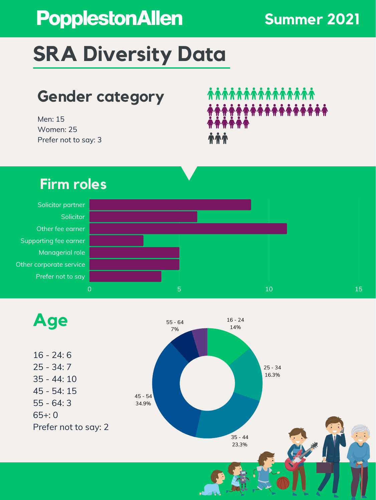Solicitor partner **Solicitor** Other fee earner Supporting fee earner Managerial role Other corporate service Prefer not to say

## **SRA Diversity Data**

Men: 15 Women: 25 Prefer not to say: 3

# **AAAAAAAAAAA** NAMA 44



 $\overline{\phantom{a}}$  0  $\overline{\phantom{a}}$  10  $\overline{\phantom{a}}$  10  $\overline{\phantom{a}}$  10  $\overline{\phantom{a}}$  15  $\overline{\phantom{a}}$ 

### **Gender category**

#### **Firm roles**

## PopplestonAllen

#### **Summer 2021**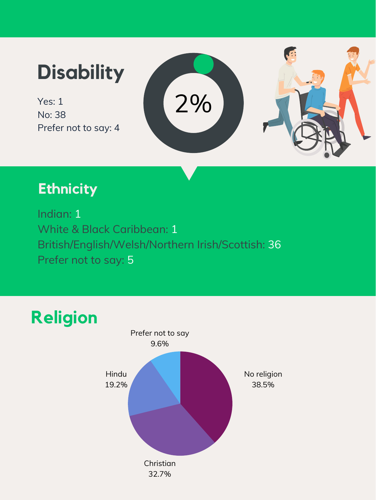No: 38 Prefer not to say: 4

## Yes: 1 **Disability**



#### **Ethnicity**

Indian: 1 White & Black Caribbean: 1 British/English/Welsh/Northern Irish/Scottish: 36 Prefer not to say: 5



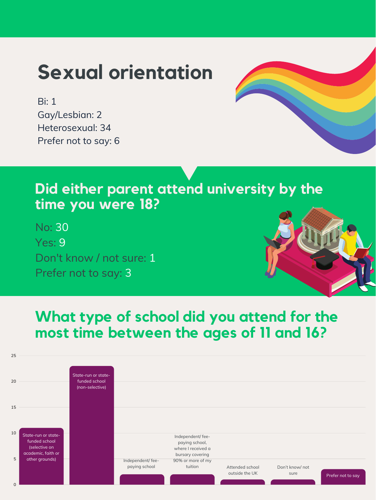Bi: 1 Gay/Lesbian: 2 Heterosexual: 34 Prefer not to say: 6



## **Sexual orientation**

#### **Did either parent attend university by the time you were 18?**

No: 30 Yes: 9 Don't know / not sure: 1 Prefer not to say: 3



#### **What type of school did you attend for the most time between the ages of 11 and 16?**

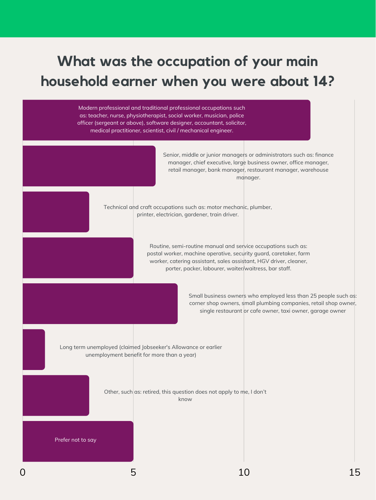#### **What was the occupation of your main household earner when you were about 14?**

Modern professional and traditional professional occupations such as: teacher, nurse, physiotherapist, social worker, musician, police officer (sergeant or above), software designer, accountant, solicitor, medical practitioner, scientist, civil / mechanical engineer.

> Senior, middle or junior managers or administrators such as: finance manager, chief executive, large business owner, office manager, retail manager, bank manager, restaurant manager, warehouse manager.

Technical and craft occupations such as: motor mechanic, plumber, printer, electrician, gardener, train driver.

Other, such as: retired, this question does not apply to me, I don't know

Routine, semi-routine manual and service occupations such as: postal worker, machine operative, security guard, caretaker, farm worker, catering assistant, sales assistant, HGV driver, cleaner, porter, packer, labourer, waiter/waitress, bar staff.

Small business owners who employed less than 25 people such as:

corner shop owners, small plumbing companies, retail shop owner, single restaurant or cafe owner, taxi owner, garage owner

Long term unemployed (claimed Jobseeker's Allowance or earlier unemployment benefit for more than a year)

Prefer not to say